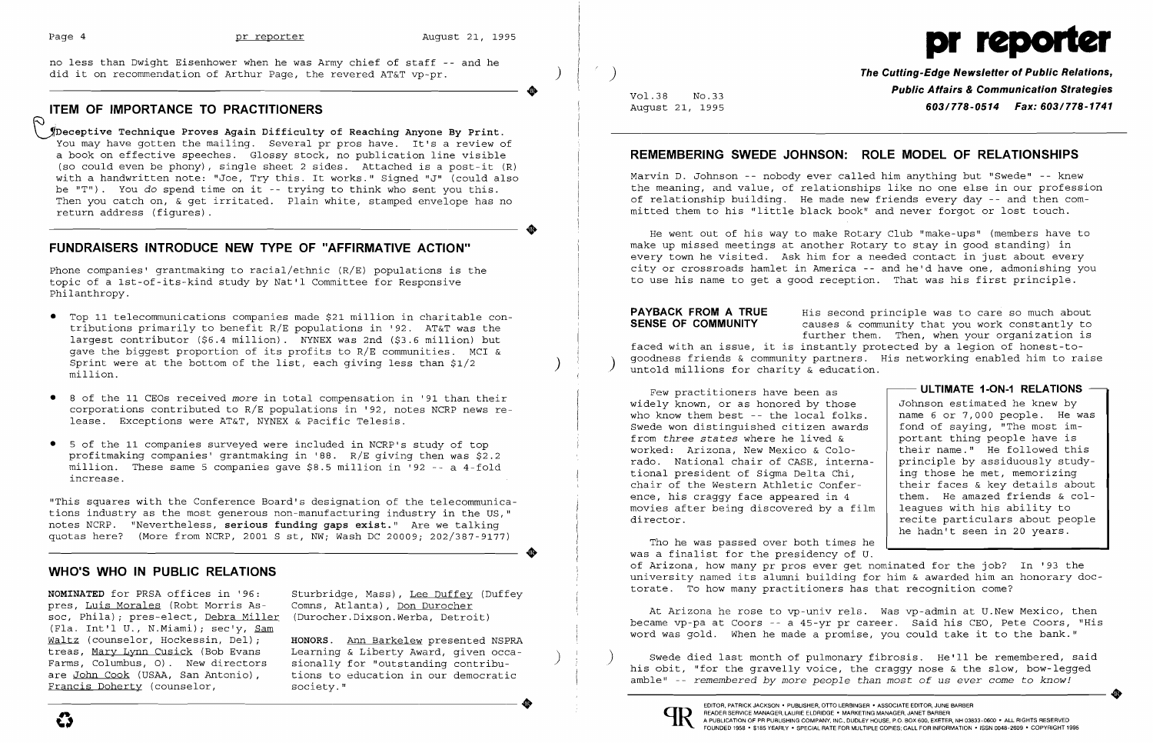**•** 

no less than Dwight Eisenhower when he was Army chief of staff -- and he did it on recommendation of Arthur Page, the revered AT&T vp-pr. )

## **ITEM OF IMPORTANCE TO PRACTITIONERS**

~DecePtive **Technique Proves Again Difficulty of Reaching Anyone By Print.**  You may have gotten the mailing. Several pr pros have. It's a review of a book on effective speeches. Glossy stock, no publication line visible (so could even be phony), single sheet 2 sides. Attached is a post-it (R) with a handwritten note: "Joe, Try this. It works." Signed "J" (could also be "T"). You do spend time on it -- trying to think who sent you this. Then you catch on, & get irritated. Plain white, stamped envelope has no return address (figures).

..

## **FUNDRAISERS INTRODUCE NEW TYPE OF "AFFIRMATIVE ACTION"**

Phone companies' grantmaking to racial/ethnic (R/E) populations is the topic of a Ist-of-its-kind study by Nat'l Committee for Responsive Philanthropy.

**NOMINATED** for PRSA offices in '96: pres, Luis Morales (Robt Morris Assoc, Phila); pres-elect, Debra Miller (Fla. Int'l U., N.Miami); sec'y, Sam Waltz (counselor, Hockessin, Del);<br>treas, Mary Lynn Cusick (Bob Evans Fands, Columbus, Off. New directors sionarly for outstanding contribu-<br>are <u>John Cook</u> (USAA, San Antonio), tions to education in our democratic amble" -- remembered by more<br>amble" -- remembered by more<br>amble amble amble a

- • Top 11 telecommunications companies made \$21 million in charitable contributions primarily to benefit R/E populations in '92. AT&T was the largest contributor (\$6.4 million). NYNEX was 2nd (\$3.6 million) but gave the biggest proportion of its profits to R/E communities. MCI & Sprint were at the bottom of the list, each giving less than  $$1/2$  million.
- • 8 of the 11 CEOs received *more* in total compensation in '91 than their corporations contributed to R/E populations in '92, notes NCRP news re lease. Exceptions were AT&T, NYNEX & Pacific Telesis.
- • 5 of the 11 companies surveyed were included in NCRP's study of top profitmaking companies' grantmaking in '88. R/E giving then was \$2.2 million. These same 5 companies gave \$8.5 million in '92 -- a 4-fold increase.

**PAYBACK FROM A TRUE SENSE OF COMMUNITY**  His second principle was to care so much about causes & community that you work constantly to further them. Then, when your organization is faced with an issue, it is instantly protected by a legion of honest-togoodness friends & community partners. His networking enabled him to raise untold millions for charity & education.

"This squares with the Conference Board's designation of the telecommunications industry as the most generous non-manufacturing industry in the US," notes NCRP. "Nevertheless, **serious funding gaps exist."** Are we talking quotas here? (More from NCRP, 2001 Sst, NW; Wash DC 20009; 202/387-9177)

..

Few practitioners have been as widely known, or as honored by those who know them best  $-$ - the local folk Swede won distinguished citizen awar from *three states* where he lived & worked: Arizona, New Mexico & Colorado. National chair of CASE, inter tional president of Sigma Delta Chi, chair of the Western Athletic Conference, his craggy face appeared in 4 movies after being discovered by a director.

### **WHO'S WHO IN PUBLIC RELATIONS**

Sturbridge, Mass), Lee Duffey (Duffey Comns, Atlanta), Don Durocher (Durocher. Dixson. Werba, Detroit)

Tho he was passed over both times was a finalist for the presidency of U. of Arizona, how many pr pros ever get nominated for the job? In '93 the university named its alumni building for him & awarded him an honorary doctorate. To how many practitioners has that recognition come?

**HONORS.** Ann Barkelew presented NSPRA

) **The Cutting-Edge Newsletter of Public Relations,**  Vol.38 NO.33 **Public Affairs &Communication Strategies**  August 21, 1995 *603/778-0514 Fax: 603/778-1741* 

## **REMEMBERING SWEDE JOHNSON: ROLE MODEL OF RELATIONSHIPS**



# pr r

Marvin D. Johnson -- nobody ever called him anything but "Swede" -- knew the meaning, and value, of relationships like no one else in our profession of relationship building. He made new friends every day -- and then committed them to his "little black book" and never forgot or lost touch.

He went out of his way to make Rotary Club "make-ups" (members have to make up missed meetings at another Rotary to stay in good standing) in every town he visited. Ask him for a needed contact in just about every city or crossroads hamlet in America -- and he'd have one, admonishing you to use his name to get a good reception. That was his first principle.

|      | - ULTIMATE 1-ON-1 RELATIONS     |
|------|---------------------------------|
| ≘    | Johnson estimated he knew by    |
| ks.  | name 6 or 7,000 people. He was  |
| rds  | fond of saying, "The most im-   |
|      | portant thing people have is    |
|      | their name." He followed this   |
| rna- | principle by assiduously study- |
|      | ing those he met, memorizing    |
| r-   | their faces & key details about |
|      | them. He amazed friends & col-  |
| film | leagues with his ability to     |
|      | recite particulars about people |
|      | he hadn't seen in 20 years.     |
| s he |                                 |

**•** 

At Arizona he rose to vp-univ rels. Was vp-admin at U.New Mexico, then became vp-pa at Coors -- a 45-yr pr career. Said his CEO, Pete Coors, "His word was gold. When he made a promise, you could take it to the bank."

Example to the start of the start of the start of the start of the start of the start of the start of the start of the start of the start of the start of the start of the start of the start of the start of the start of use